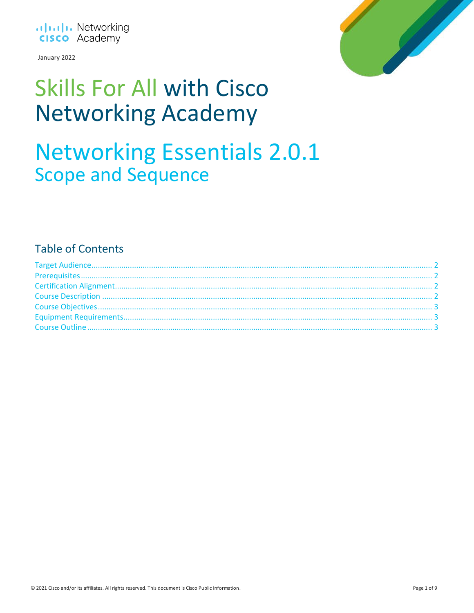

January 2022



### **Skills For All with Cisco Networking Academy**

### **Networking Essentials 2.0.1 Scope and Sequence**

### **Table of Contents**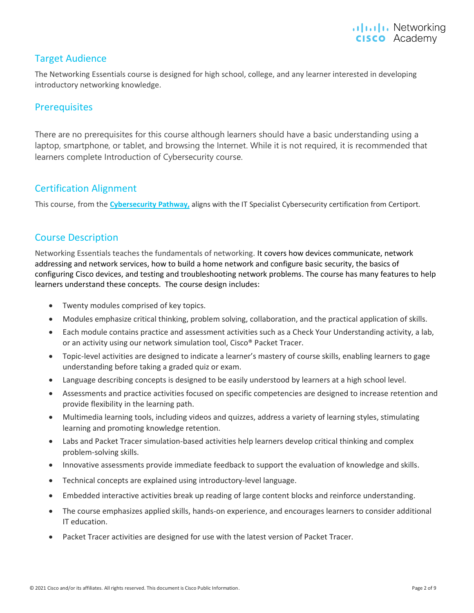#### <span id="page-1-0"></span>Target Audience

The Networking Essentials course is designed for high school, college, and any learner interested in developing introductory networking knowledge.

#### <span id="page-1-1"></span>**Prerequisites**

There are no prerequisites for this course although learners should have a basic understanding using a laptop, smartphone, or tablet, and browsing the Internet. While it is not required, it is recommended that learners complete Introduction of Cybersecurity course.

#### <span id="page-1-2"></span>Certification Alignment

This course, from the **[Cybersecurity Pathway,](https://skillsforall.com/career-path/cybersecurity)** aligns with the IT Specialist Cybersecurity certification from Certiport.

#### <span id="page-1-3"></span>Course Description

Networking Essentials teaches the fundamentals of networking. It covers how devices communicate, network addressing and network services, how to build a home network and configure basic security, the basics of configuring Cisco devices, and testing and troubleshooting network problems. The course has many features to help learners understand these concepts. The course design includes:

- Twenty modules comprised of key topics.
- Modules emphasize critical thinking, problem solving, collaboration, and the practical application of skills.
- Each module contains practice and assessment activities such as a Check Your Understanding activity, a lab, or an activity using our network simulation tool, Cisco® Packet Tracer.
- Topic-level activities are designed to indicate a learner's mastery of course skills, enabling learners to gage understanding before taking a graded quiz or exam.
- Language describing concepts is designed to be easily understood by learners at a high school level.
- Assessments and practice activities focused on specific competencies are designed to increase retention and provide flexibility in the learning path.
- Multimedia learning tools, including videos and quizzes, address a variety of learning styles, stimulating learning and promoting knowledge retention.
- Labs and Packet Tracer simulation-based activities help learners develop critical thinking and complex problem-solving skills.
- Innovative assessments provide immediate feedback to support the evaluation of knowledge and skills.
- Technical concepts are explained using introductory-level language.
- Embedded interactive activities break up reading of large content blocks and reinforce understanding.
- The course emphasizes applied skills, hands-on experience, and encourages learners to consider additional IT education.
- Packet Tracer activities are designed for use with the latest version of Packet Tracer.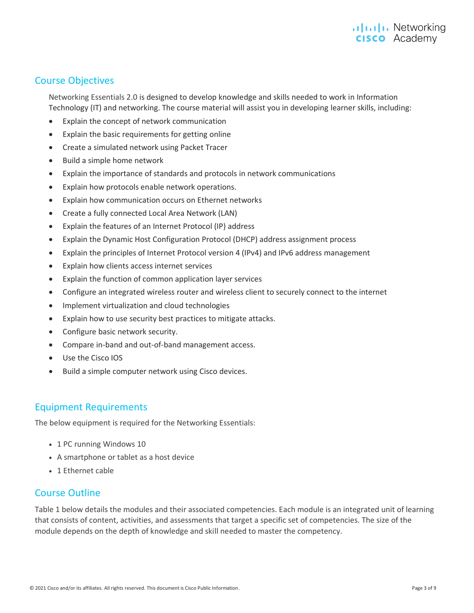#### .**I|I.I|I.** Networking **CISCO** Academy

#### <span id="page-2-0"></span>Course Objectives

Networking Essentials 2.0 is designed to develop knowledge and skills needed to work in Information Technology (IT) and networking. The course material will assist you in developing learner skills, including:

- Explain the concept of network communication
- Explain the basic requirements for getting online
- Create a simulated network using Packet Tracer
- Build a simple home network
- Explain the importance of standards and protocols in network communications
- Explain how protocols enable network operations.
- Explain how communication occurs on Ethernet networks
- Create a fully connected Local Area Network (LAN)
- Explain the features of an Internet Protocol (IP) address
- Explain the Dynamic Host Configuration Protocol (DHCP) address assignment process
- Explain the principles of Internet Protocol version 4 (IPv4) and IPv6 address management
- Explain how clients access internet services
- Explain the function of common application layer services
- Configure an integrated wireless router and wireless client to securely connect to the internet
- Implement virtualization and cloud technologies
- Explain how to use security best practices to mitigate attacks.
- Configure basic network security.
- Compare in-band and out-of-band management access.
- Use the Cisco IOS
- Build a simple computer network using Cisco devices.

#### <span id="page-2-1"></span>Equipment Requirements

The below equipment is required for the Networking Essentials:

- 1 PC running Windows 10
- A smartphone or tablet as a host device
- 1 Ethernet cable

#### <span id="page-2-2"></span>Course Outline

Table 1 below details the modules and their associated competencies. Each module is an integrated unit of learning that consists of content, activities, and assessments that target a specific set of competencies. The size of the module depends on the depth of knowledge and skill needed to master the competency.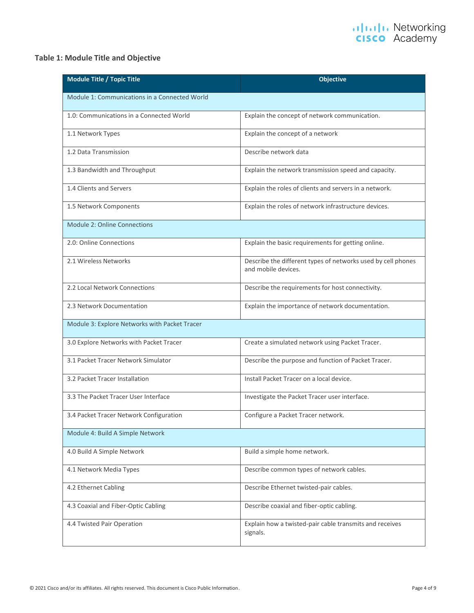#### **Table 1: Module Title and Objective**

| Module Title / Topic Title                    | <b>Objective</b>                                                                    |
|-----------------------------------------------|-------------------------------------------------------------------------------------|
| Module 1: Communications in a Connected World |                                                                                     |
| 1.0: Communications in a Connected World      | Explain the concept of network communication.                                       |
| 1.1 Network Types                             | Explain the concept of a network                                                    |
| 1.2 Data Transmission                         | Describe network data                                                               |
| 1.3 Bandwidth and Throughput                  | Explain the network transmission speed and capacity.                                |
| 1.4 Clients and Servers                       | Explain the roles of clients and servers in a network.                              |
| 1.5 Network Components                        | Explain the roles of network infrastructure devices.                                |
| <b>Module 2: Online Connections</b>           |                                                                                     |
| 2.0: Online Connections                       | Explain the basic requirements for getting online.                                  |
| 2.1 Wireless Networks                         | Describe the different types of networks used by cell phones<br>and mobile devices. |
| 2.2 Local Network Connections                 | Describe the requirements for host connectivity.                                    |
| 2.3 Network Documentation                     | Explain the importance of network documentation.                                    |
| Module 3: Explore Networks with Packet Tracer |                                                                                     |
| 3.0 Explore Networks with Packet Tracer       | Create a simulated network using Packet Tracer.                                     |
| 3.1 Packet Tracer Network Simulator           | Describe the purpose and function of Packet Tracer.                                 |
| 3.2 Packet Tracer Installation                | Install Packet Tracer on a local device.                                            |
| 3.3 The Packet Tracer User Interface          | Investigate the Packet Tracer user interface.                                       |
| 3.4 Packet Tracer Network Configuration       | Configure a Packet Tracer network.                                                  |
| Module 4: Build A Simple Network              |                                                                                     |
| 4.0 Build A Simple Network                    | Build a simple home network.                                                        |
| 4.1 Network Media Types                       | Describe common types of network cables.                                            |
| 4.2 Ethernet Cabling                          | Describe Ethernet twisted-pair cables.                                              |
| 4.3 Coaxial and Fiber-Optic Cabling           | Describe coaxial and fiber-optic cabling.                                           |
| 4.4 Twisted Pair Operation                    | Explain how a twisted-pair cable transmits and receives<br>signals.                 |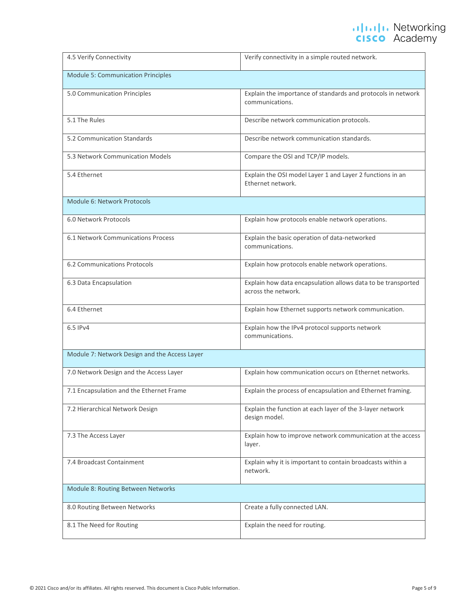| 4.5 Verify Connectivity                       | Verify connectivity in a simple routed network.                                     |
|-----------------------------------------------|-------------------------------------------------------------------------------------|
| <b>Module 5: Communication Principles</b>     |                                                                                     |
| 5.0 Communication Principles                  | Explain the importance of standards and protocols in network<br>communications.     |
| 5.1 The Rules                                 | Describe network communication protocols.                                           |
| 5.2 Communication Standards                   | Describe network communication standards.                                           |
| 5.3 Network Communication Models              | Compare the OSI and TCP/IP models.                                                  |
| 5.4 Ethernet                                  | Explain the OSI model Layer 1 and Layer 2 functions in an<br>Ethernet network.      |
| Module 6: Network Protocols                   |                                                                                     |
| 6.0 Network Protocols                         | Explain how protocols enable network operations.                                    |
| 6.1 Network Communications Process            | Explain the basic operation of data-networked<br>communications.                    |
| 6.2 Communications Protocols                  | Explain how protocols enable network operations.                                    |
| 6.3 Data Encapsulation                        | Explain how data encapsulation allows data to be transported<br>across the network. |
| 6.4 Ethernet                                  | Explain how Ethernet supports network communication.                                |
| 6.5 IPv4                                      | Explain how the IPv4 protocol supports network<br>communications.                   |
| Module 7: Network Design and the Access Layer |                                                                                     |
| 7.0 Network Design and the Access Layer       | Explain how communication occurs on Ethernet networks.                              |
| 7.1 Encapsulation and the Ethernet Frame      | Explain the process of encapsulation and Ethernet framing.                          |
| 7.2 Hierarchical Network Design               | Explain the function at each layer of the 3-layer network<br>design model.          |
| 7.3 The Access Layer                          | Explain how to improve network communication at the access<br>layer.                |
| 7.4 Broadcast Containment                     | Explain why it is important to contain broadcasts within a<br>network.              |
| Module 8: Routing Between Networks            |                                                                                     |
| 8.0 Routing Between Networks                  | Create a fully connected LAN.                                                       |
| 8.1 The Need for Routing                      | Explain the need for routing.                                                       |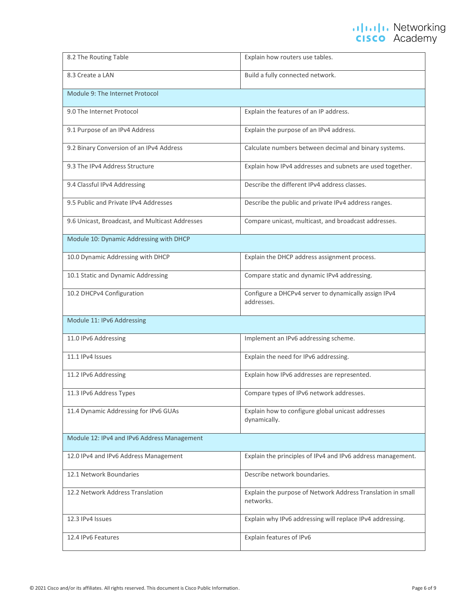| 8.2 The Routing Table                           | Explain how routers use tables.                                          |
|-------------------------------------------------|--------------------------------------------------------------------------|
| 8.3 Create a LAN                                | Build a fully connected network.                                         |
| Module 9: The Internet Protocol                 |                                                                          |
| 9.0 The Internet Protocol                       | Explain the features of an IP address.                                   |
| 9.1 Purpose of an IPv4 Address                  | Explain the purpose of an IPv4 address.                                  |
| 9.2 Binary Conversion of an IPv4 Address        | Calculate numbers between decimal and binary systems.                    |
| 9.3 The IPv4 Address Structure                  | Explain how IPv4 addresses and subnets are used together.                |
| 9.4 Classful IPv4 Addressing                    | Describe the different IPv4 address classes.                             |
| 9.5 Public and Private IPv4 Addresses           | Describe the public and private IPv4 address ranges.                     |
| 9.6 Unicast, Broadcast, and Multicast Addresses | Compare unicast, multicast, and broadcast addresses.                     |
| Module 10: Dynamic Addressing with DHCP         |                                                                          |
| 10.0 Dynamic Addressing with DHCP               | Explain the DHCP address assignment process.                             |
| 10.1 Static and Dynamic Addressing              | Compare static and dynamic IPv4 addressing.                              |
| 10.2 DHCPv4 Configuration                       | Configure a DHCPv4 server to dynamically assign IPv4<br>addresses.       |
| Module 11: IPv6 Addressing                      |                                                                          |
| 11.0 IPv6 Addressing                            | Implement an IPv6 addressing scheme.                                     |
| 11.1 IPv4 Issues                                | Explain the need for IPv6 addressing.                                    |
| 11.2 IPv6 Addressing                            | Explain how IPv6 addresses are represented.                              |
| 11.3 IPv6 Address Types                         | Compare types of IPv6 network addresses.                                 |
| 11.4 Dynamic Addressing for IPv6 GUAs           | Explain how to configure global unicast addresses<br>dynamically.        |
| Module 12: IPv4 and IPv6 Address Management     |                                                                          |
| 12.0 IPv4 and IPv6 Address Management           | Explain the principles of IPv4 and IPv6 address management.              |
| 12.1 Network Boundaries                         | Describe network boundaries.                                             |
| 12.2 Network Address Translation                | Explain the purpose of Network Address Translation in small<br>networks. |
| 12.3 IPv4 Issues                                | Explain why IPv6 addressing will replace IPv4 addressing.                |
| 12.4 IPv6 Features                              | Explain features of IPv6                                                 |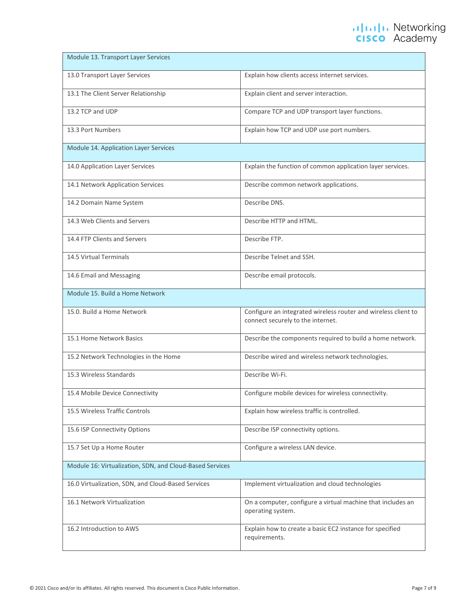| Module 13. Transport Layer Services                      |                                                                                                     |
|----------------------------------------------------------|-----------------------------------------------------------------------------------------------------|
| 13.0 Transport Layer Services                            | Explain how clients access internet services.                                                       |
| 13.1 The Client Server Relationship                      | Explain client and server interaction.                                                              |
| 13.2 TCP and UDP                                         | Compare TCP and UDP transport layer functions.                                                      |
| 13.3 Port Numbers                                        | Explain how TCP and UDP use port numbers.                                                           |
| Module 14. Application Layer Services                    |                                                                                                     |
| 14.0 Application Layer Services                          | Explain the function of common application layer services.                                          |
| 14.1 Network Application Services                        | Describe common network applications.                                                               |
| 14.2 Domain Name System                                  | Describe DNS.                                                                                       |
| 14.3 Web Clients and Servers                             | Describe HTTP and HTML.                                                                             |
| 14.4 FTP Clients and Servers                             | Describe FTP.                                                                                       |
| 14.5 Virtual Terminals                                   | Describe Telnet and SSH.                                                                            |
| 14.6 Email and Messaging                                 | Describe email protocols.                                                                           |
| Module 15. Build a Home Network                          |                                                                                                     |
| 15.0. Build a Home Network                               | Configure an integrated wireless router and wireless client to<br>connect securely to the internet. |
| 15.1 Home Network Basics                                 | Describe the components required to build a home network.                                           |
| 15.2 Network Technologies in the Home                    | Describe wired and wireless network technologies.                                                   |
| 15.3 Wireless Standards                                  | Describe Wi-Fi.                                                                                     |
| 15.4 Mobile Device Connectivity                          | Configure mobile devices for wireless connectivity.                                                 |
| 15.5 Wireless Traffic Controls                           | Explain how wireless traffic is controlled.                                                         |
| 15.6 ISP Connectivity Options                            | Describe ISP connectivity options.                                                                  |
| 15.7 Set Up a Home Router                                | Configure a wireless LAN device.                                                                    |
| Module 16: Virtualization, SDN, and Cloud-Based Services |                                                                                                     |
| 16.0 Virtualization, SDN, and Cloud-Based Services       | Implement virtualization and cloud technologies                                                     |
| 16.1 Network Virtualization                              | On a computer, configure a virtual machine that includes an<br>operating system.                    |
| 16.2 Introduction to AWS                                 | Explain how to create a basic EC2 instance for specified<br>requirements.                           |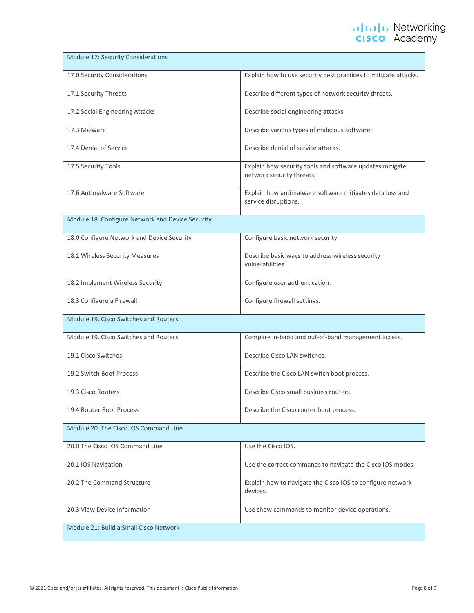| Module 17: Security Considerations               |                                                                                       |  |
|--------------------------------------------------|---------------------------------------------------------------------------------------|--|
| 17.0 Security Considerations                     | Explain how to use security best practices to mitigate attacks.                       |  |
| 17.1 Security Threats                            | Describe different types of network security threats.                                 |  |
| 17.2 Social Engineering Attacks                  | Describe social engineering attacks.                                                  |  |
| 17.3 Malware                                     | Describe various types of malicious software.                                         |  |
| 17.4 Denial of Service                           | Describe denial of service attacks.                                                   |  |
| 17.5 Security Tools                              | Explain how security tools and software updates mitigate<br>network security threats. |  |
| 17.6 Antimalware Software                        | Explain how antimalware software mitigates data loss and<br>service disruptions.      |  |
| Module 18. Configure Network and Device Security |                                                                                       |  |
| 18.0 Configure Network and Device Security       | Configure basic network security.                                                     |  |
| 18.1 Wireless Security Measures                  | Describe basic ways to address wireless security<br>vulnerabilities.                  |  |
| 18.2 Implement Wireless Security                 | Configure user authentication.                                                        |  |
| 18.3 Configure a Firewall                        | Configure firewall settings.                                                          |  |
| Module 19. Cisco Switches and Routers            |                                                                                       |  |
| Module 19. Cisco Switches and Routers            | Compare in-band and out-of-band management access.                                    |  |
| 19.1 Cisco Switches                              | Describe Cisco LAN switches.                                                          |  |
| 19.2 Switch Boot Process                         | Describe the Cisco LAN switch boot process.                                           |  |
| 19.3 Cisco Routers                               | Describe Cisco small business routers.                                                |  |
| 19.4 Router Boot Process                         | Describe the Cisco router boot process.                                               |  |
| Module 20. The Cisco IOS Command Line            |                                                                                       |  |
| 20.0 The Cisco IOS Command Line                  | Use the Cisco IOS.                                                                    |  |
| 20.1 IOS Navigation                              | Use the correct commands to navigate the Cisco IOS modes.                             |  |
| 20.2 The Command Structure                       | Explain how to navigate the Cisco IOS to configure network<br>devices.                |  |
| 20.3 View Device Information                     | Use show commands to monitor device operations.                                       |  |
| Module 21: Build a Small Cisco Network           |                                                                                       |  |